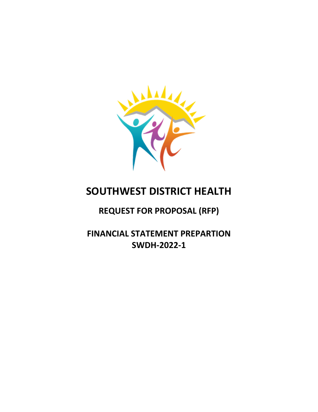

# **SOUTHWEST DISTRICT HEALTH**

## **REQUEST FOR PROPOSAL (RFP)**

**FINANCIAL STATEMENT PREPARTION SWDH‐2022‐1**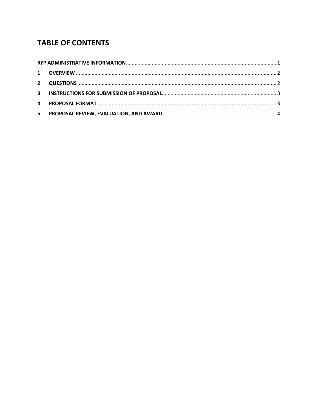## **TABLE OF CONTENTS**

| 4  |  |  |  |
|----|--|--|--|
| 5. |  |  |  |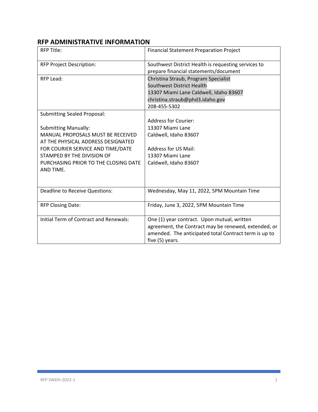## **RFP ADMINISTRATIVE INFORMATION**

| <b>RFP Title:</b>                      | <b>Financial Statement Preparation Project</b>        |
|----------------------------------------|-------------------------------------------------------|
| <b>RFP Project Description:</b>        | Southwest District Health is requesting services to   |
|                                        | prepare financial statements/document                 |
| RFP Lead:                              | Christina Straub, Program Specialist                  |
|                                        | Southwest District Health                             |
|                                        | 13307 Miami Lane Caldwell, Idaho 83607                |
|                                        | christina.straub@phd3.idaho.gov                       |
|                                        | 208-455-5302                                          |
| <b>Submitting Sealed Proposal:</b>     |                                                       |
|                                        | Address for Courier:                                  |
| <b>Submitting Manually:</b>            | 13307 Miami Lane                                      |
| MANUAL PROPOSALS MUST BE RECEIVED      | Caldwell, Idaho 83607                                 |
| AT THE PHYSICAL ADDRESS DESIGNATED     |                                                       |
| FOR COURIER SERVICE AND TIME/DATE      | <b>Address for US Mail:</b>                           |
| STAMPED BY THE DIVISION OF             | 13307 Miami Lane                                      |
| PURCHASING PRIOR TO THE CLOSING DATE   | Caldwell, Idaho 83607                                 |
| AND TIME.                              |                                                       |
|                                        |                                                       |
| <b>Deadline to Receive Questions:</b>  | Wednesday, May 11, 2022, 5PM Mountain Time            |
| <b>RFP Closing Date:</b>               | Friday, June 3, 2022, 5PM Mountain Time               |
| Initial Term of Contract and Renewals: | One (1) year contract. Upon mutual, written           |
|                                        | agreement, the Contract may be renewed, extended, or  |
|                                        | amended. The anticipated total Contract term is up to |
|                                        | five (5) years.                                       |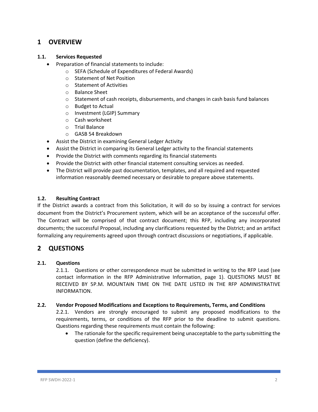## **1 OVERVIEW**

#### **1.1. Services Requested**

- Preparation of financial statements to include:
	- o SEFA (Schedule of Expenditures of Federal Awards)
	- o Statement of Net Position
	- o Statement of Activities
	- o Balance Sheet
	- $\circ$  Statement of cash receipts, disbursements, and changes in cash basis fund balances
	- o Budget to Actual
	- o Investment (LGIP) Summary
	- o Cash worksheet
	- o Trial Balance
	- o GASB 54 Breakdown
- Assist the District in examining General Ledger Activity
- Assist the District in comparing its General Ledger activity to the financial statements
- Provide the District with comments regarding its financial statements
- Provide the District with other financial statement consulting services as needed.
- The District will provide past documentation, templates, and all required and requested information reasonably deemed necessary or desirable to prepare above statements.

#### **1.2. Resulting Contract**

If the District awards a contract from this Solicitation, it will do so by issuing a contract for services document from the District's Procurement system, which will be an acceptance of the successful offer. The Contract will be comprised of that contract document; this RFP, including any incorporated documents; the successful Proposal, including any clarifications requested by the District; and an artifact formalizing any requirements agreed upon through contract discussions or negotiations, if applicable.

## **2 QUESTIONS**

#### **2.1. Questions**

2.1.1. Questions or other correspondence must be submitted in writing to the RFP Lead (see contact information in the RFP Administrative Information, page 1). QUESTIONS MUST BE RECEIVED BY 5P.M. MOUNTAIN TIME ON THE DATE LISTED IN THE RFP ADMINISTRATIVE INFORMATION.

#### **2.2. Vendor Proposed Modifications and Exceptions to Requirements, Terms, and Conditions**

2.2.1. Vendors are strongly encouraged to submit any proposed modifications to the requirements, terms, or conditions of the RFP prior to the deadline to submit questions. Questions regarding these requirements must contain the following:

• The rationale for the specific requirement being unacceptable to the party submitting the question (define the deficiency).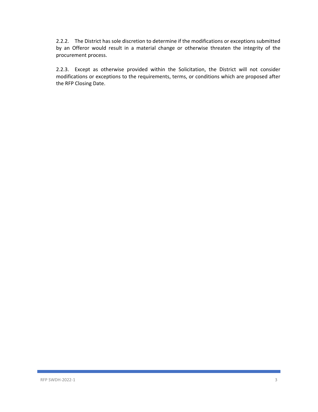2.2.2. The District has sole discretion to determine if the modifications or exceptions submitted by an Offeror would result in a material change or otherwise threaten the integrity of the procurement process.

2.2.3. Except as otherwise provided within the Solicitation, the District will not consider modifications or exceptions to the requirements, terms, or conditions which are proposed after the RFP Closing Date.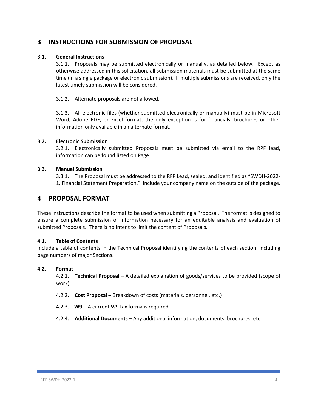## **3 INSTRUCTIONS FOR SUBMISSION OF PROPOSAL**

#### **3.1. General Instructions**

3.1.1. Proposals may be submitted electronically or manually, as detailed below. Except as otherwise addressed in this solicitation, all submission materials must be submitted at the same time (in a single package or electronic submission). If multiple submissions are received, only the latest timely submission will be considered.

3.1.2. Alternate proposals are not allowed.

3.1.3. All electronic files (whether submitted electronically or manually) must be in Microsoft Word, Adobe PDF, or Excel format; the only exception is for financials, brochures or other information only available in an alternate format.

#### **3.2. Electronic Submission**

3.2.1. Electronically submitted Proposals must be submitted via email to the RPF lead, information can be found listed on Page 1.

#### **3.3. Manual Submission**

3.3.1. The Proposal must be addressed to the RFP Lead, sealed, and identified as "SWDH‐2022‐ 1, Financial Statement Preparation." Include your company name on the outside of the package.

### **4 PROPOSAL FORMAT**

These instructions describe the format to be used when submitting a Proposal. The format is designed to ensure a complete submission of information necessary for an equitable analysis and evaluation of submitted Proposals. There is no intent to limit the content of Proposals.

#### **4.1. Table of Contents**

Include a table of contents in the Technical Proposal identifying the contents of each section, including page numbers of major Sections.

#### **4.2. Format**

4.2.1. **Technical Proposal –** A detailed explanation of goods/services to be provided (scope of work)

- 4.2.2. **Cost Proposal –** Breakdown of costs (materials, personnel, etc.)
- 4.2.3. **W9 –** A current W9 tax forma is required
- 4.2.4. **Additional Documents –** Any additional information, documents, brochures, etc.